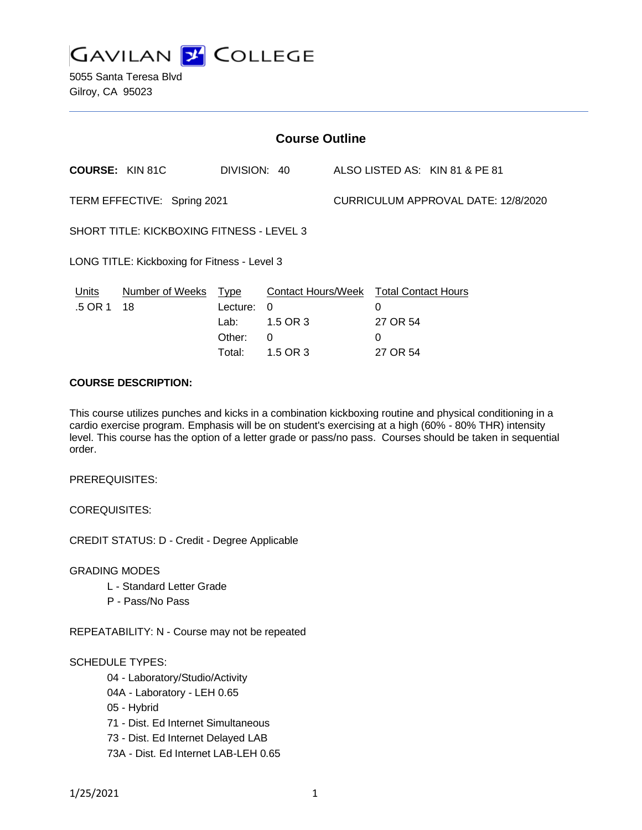

5055 Santa Teresa Blvd Gilroy, CA 95023

| <b>Course Outline</b>                            |                              |                                                     |                                                             |                                     |                                                              |                                |
|--------------------------------------------------|------------------------------|-----------------------------------------------------|-------------------------------------------------------------|-------------------------------------|--------------------------------------------------------------|--------------------------------|
| <b>COURSE: KIN 81C</b>                           |                              | DIVISION: 40                                        |                                                             |                                     |                                                              | ALSO LISTED AS: KIN 81 & PE 81 |
| TERM EFFECTIVE: Spring 2021                      |                              |                                                     |                                                             | CURRICULUM APPROVAL DATE: 12/8/2020 |                                                              |                                |
| <b>SHORT TITLE: KICKBOXING FITNESS - LEVEL 3</b> |                              |                                                     |                                                             |                                     |                                                              |                                |
| LONG TITLE: Kickboxing for Fitness - Level 3     |                              |                                                     |                                                             |                                     |                                                              |                                |
| <u>Units</u><br>.5 OR 1                          | <b>Number of Weeks</b><br>18 | <u>Type</u><br>Lecture:<br>Lab:<br>Other:<br>Total: | <b>Contact Hours/Week</b><br>0<br>1.5 OR 3<br>0<br>1.5 OR 3 |                                     | <b>Total Contact Hours</b><br>0<br>27 OR 54<br>0<br>27 OR 54 |                                |

### **COURSE DESCRIPTION:**

This course utilizes punches and kicks in a combination kickboxing routine and physical conditioning in a cardio exercise program. Emphasis will be on student's exercising at a high (60% - 80% THR) intensity level. This course has the option of a letter grade or pass/no pass. Courses should be taken in sequential order.

PREREQUISITES:

COREQUISITES:

CREDIT STATUS: D - Credit - Degree Applicable

GRADING MODES

- L Standard Letter Grade
- P Pass/No Pass

REPEATABILITY: N - Course may not be repeated

SCHEDULE TYPES:

- 04 Laboratory/Studio/Activity
- 04A Laboratory LEH 0.65
- 05 Hybrid
- 71 Dist. Ed Internet Simultaneous
- 73 Dist. Ed Internet Delayed LAB
- 73A Dist. Ed Internet LAB-LEH 0.65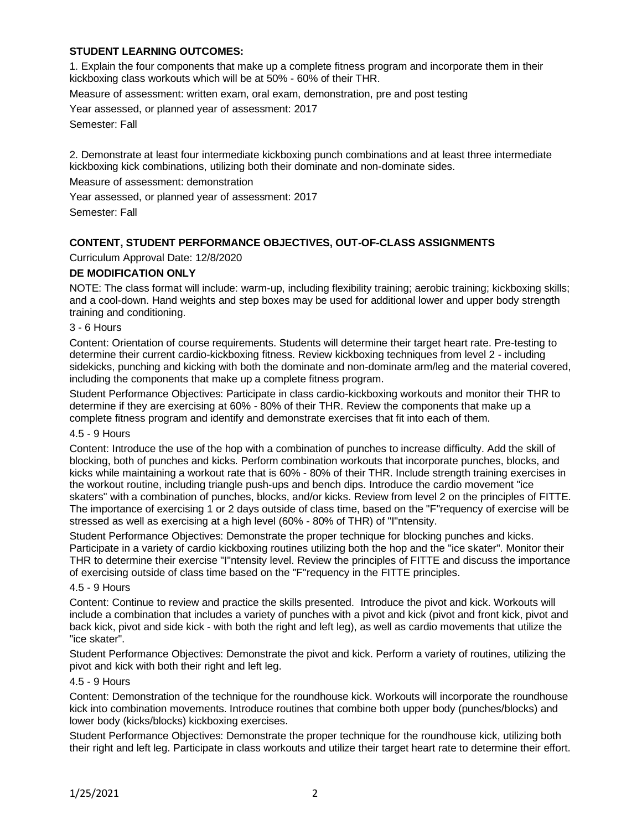# **STUDENT LEARNING OUTCOMES:**

1. Explain the four components that make up a complete fitness program and incorporate them in their kickboxing class workouts which will be at 50% - 60% of their THR.

Measure of assessment: written exam, oral exam, demonstration, pre and post testing

Year assessed, or planned year of assessment: 2017

Semester: Fall

2. Demonstrate at least four intermediate kickboxing punch combinations and at least three intermediate kickboxing kick combinations, utilizing both their dominate and non-dominate sides.

Measure of assessment: demonstration

Year assessed, or planned year of assessment: 2017

Semester: Fall

## **CONTENT, STUDENT PERFORMANCE OBJECTIVES, OUT-OF-CLASS ASSIGNMENTS**

### Curriculum Approval Date: 12/8/2020

### **DE MODIFICATION ONLY**

NOTE: The class format will include: warm-up, including flexibility training; aerobic training; kickboxing skills; and a cool-down. Hand weights and step boxes may be used for additional lower and upper body strength training and conditioning.

## 3 - 6 Hours

Content: Orientation of course requirements. Students will determine their target heart rate. Pre-testing to determine their current cardio-kickboxing fitness. Review kickboxing techniques from level 2 - including sidekicks, punching and kicking with both the dominate and non-dominate arm/leg and the material covered, including the components that make up a complete fitness program.

Student Performance Objectives: Participate in class cardio-kickboxing workouts and monitor their THR to determine if they are exercising at 60% - 80% of their THR. Review the components that make up a complete fitness program and identify and demonstrate exercises that fit into each of them.

# 4.5 - 9 Hours

Content: Introduce the use of the hop with a combination of punches to increase difficulty. Add the skill of blocking, both of punches and kicks. Perform combination workouts that incorporate punches, blocks, and kicks while maintaining a workout rate that is 60% - 80% of their THR. Include strength training exercises in the workout routine, including triangle push-ups and bench dips. Introduce the cardio movement "ice skaters" with a combination of punches, blocks, and/or kicks. Review from level 2 on the principles of FITTE. The importance of exercising 1 or 2 days outside of class time, based on the "F"requency of exercise will be stressed as well as exercising at a high level (60% - 80% of THR) of "I"ntensity.

Student Performance Objectives: Demonstrate the proper technique for blocking punches and kicks. Participate in a variety of cardio kickboxing routines utilizing both the hop and the "ice skater". Monitor their THR to determine their exercise "I"ntensity level. Review the principles of FITTE and discuss the importance of exercising outside of class time based on the "F"requency in the FITTE principles.

### 4.5 - 9 Hours

Content: Continue to review and practice the skills presented. Introduce the pivot and kick. Workouts will include a combination that includes a variety of punches with a pivot and kick (pivot and front kick, pivot and back kick, pivot and side kick - with both the right and left leg), as well as cardio movements that utilize the "ice skater".

Student Performance Objectives: Demonstrate the pivot and kick. Perform a variety of routines, utilizing the pivot and kick with both their right and left leg.

#### 4.5 - 9 Hours

Content: Demonstration of the technique for the roundhouse kick. Workouts will incorporate the roundhouse kick into combination movements. Introduce routines that combine both upper body (punches/blocks) and lower body (kicks/blocks) kickboxing exercises.

Student Performance Objectives: Demonstrate the proper technique for the roundhouse kick, utilizing both their right and left leg. Participate in class workouts and utilize their target heart rate to determine their effort.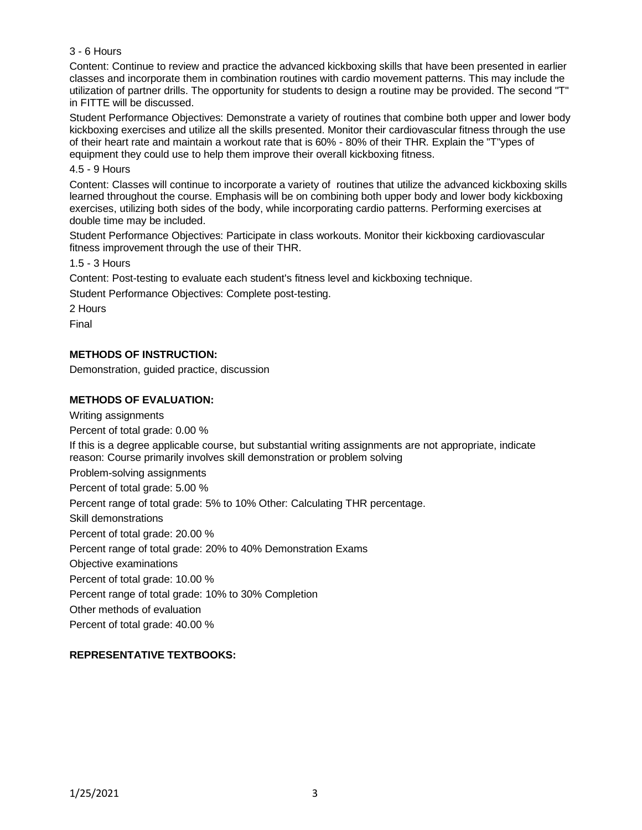## 3 - 6 Hours

Content: Continue to review and practice the advanced kickboxing skills that have been presented in earlier classes and incorporate them in combination routines with cardio movement patterns. This may include the utilization of partner drills. The opportunity for students to design a routine may be provided. The second "T" in FITTE will be discussed.

Student Performance Objectives: Demonstrate a variety of routines that combine both upper and lower body kickboxing exercises and utilize all the skills presented. Monitor their cardiovascular fitness through the use of their heart rate and maintain a workout rate that is 60% - 80% of their THR. Explain the "T"ypes of equipment they could use to help them improve their overall kickboxing fitness.

#### 4.5 - 9 Hours

Content: Classes will continue to incorporate a variety of routines that utilize the advanced kickboxing skills learned throughout the course. Emphasis will be on combining both upper body and lower body kickboxing exercises, utilizing both sides of the body, while incorporating cardio patterns. Performing exercises at double time may be included.

Student Performance Objectives: Participate in class workouts. Monitor their kickboxing cardiovascular fitness improvement through the use of their THR.

1.5 - 3 Hours

Content: Post-testing to evaluate each student's fitness level and kickboxing technique.

Student Performance Objectives: Complete post-testing.

2 Hours

Final

## **METHODS OF INSTRUCTION:**

Demonstration, guided practice, discussion

### **METHODS OF EVALUATION:**

Writing assignments Percent of total grade: 0.00 % If this is a degree applicable course, but substantial writing assignments are not appropriate, indicate reason: Course primarily involves skill demonstration or problem solving Problem-solving assignments Percent of total grade: 5.00 % Percent range of total grade: 5% to 10% Other: Calculating THR percentage. Skill demonstrations Percent of total grade: 20.00 % Percent range of total grade: 20% to 40% Demonstration Exams Objective examinations Percent of total grade: 10.00 % Percent range of total grade: 10% to 30% Completion Other methods of evaluation Percent of total grade: 40.00 %

## **REPRESENTATIVE TEXTBOOKS:**